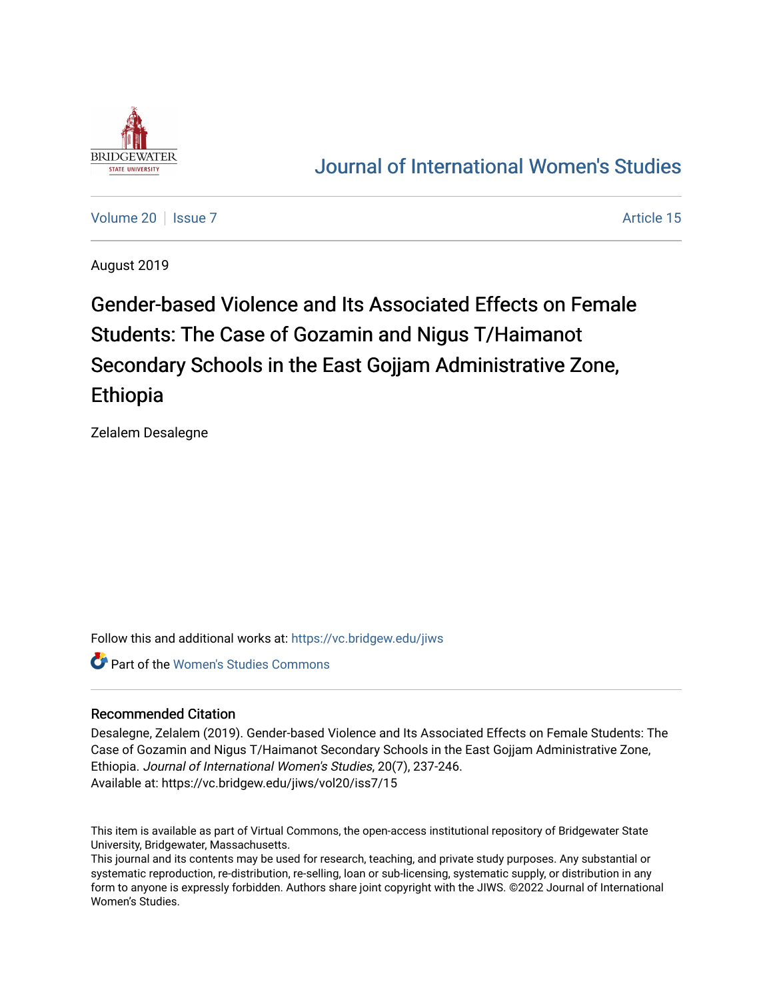

# [Journal of International Women's Studies](https://vc.bridgew.edu/jiws)

[Volume 20](https://vc.bridgew.edu/jiws/vol20) | [Issue 7](https://vc.bridgew.edu/jiws/vol20/iss7) Article 15

August 2019

Gender-based Violence and Its Associated Effects on Female Students: The Case of Gozamin and Nigus T/Haimanot Secondary Schools in the East Gojjam Administrative Zone, Ethiopia

Zelalem Desalegne

Follow this and additional works at: [https://vc.bridgew.edu/jiws](https://vc.bridgew.edu/jiws?utm_source=vc.bridgew.edu%2Fjiws%2Fvol20%2Fiss7%2F15&utm_medium=PDF&utm_campaign=PDFCoverPages)

Part of the [Women's Studies Commons](http://network.bepress.com/hgg/discipline/561?utm_source=vc.bridgew.edu%2Fjiws%2Fvol20%2Fiss7%2F15&utm_medium=PDF&utm_campaign=PDFCoverPages) 

## Recommended Citation

Desalegne, Zelalem (2019). Gender-based Violence and Its Associated Effects on Female Students: The Case of Gozamin and Nigus T/Haimanot Secondary Schools in the East Gojjam Administrative Zone, Ethiopia. Journal of International Women's Studies, 20(7), 237-246. Available at: https://vc.bridgew.edu/jiws/vol20/iss7/15

This item is available as part of Virtual Commons, the open-access institutional repository of Bridgewater State University, Bridgewater, Massachusetts.

This journal and its contents may be used for research, teaching, and private study purposes. Any substantial or systematic reproduction, re-distribution, re-selling, loan or sub-licensing, systematic supply, or distribution in any form to anyone is expressly forbidden. Authors share joint copyright with the JIWS. ©2022 Journal of International Women's Studies.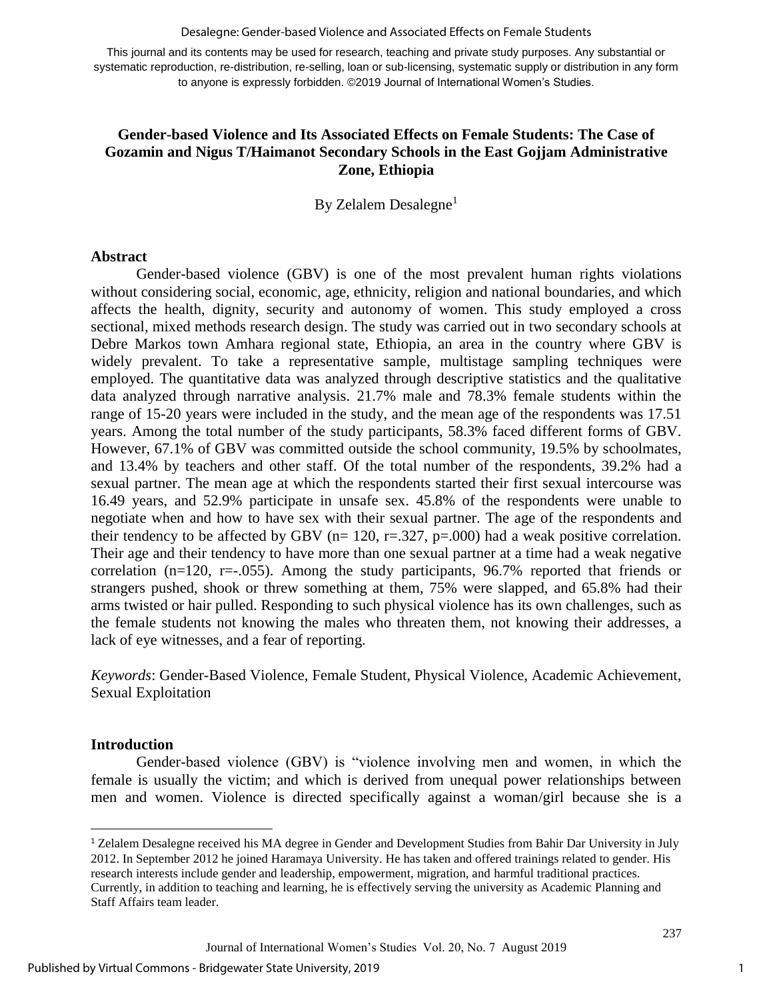#### Desalegne: Gender-based Violence and Associated Effects on Female Students

This journal and its contents may be used for research, teaching and private study purposes. Any substantial or systematic reproduction, re-distribution, re-selling, loan or sub-licensing, systematic supply or distribution in any form to anyone is expressly forbidden. ©2019 Journal of International Women's Studies.

## **Gender-based Violence and Its Associated Effects on Female Students: The Case of Gozamin and Nigus T/Haimanot Secondary Schools in the East Gojjam Administrative Zone, Ethiopia**

By Zelalem Desalegne<sup>1</sup>

### **Abstract**

Gender-based violence (GBV) is one of the most prevalent human rights violations without considering social, economic, age, ethnicity, religion and national boundaries, and which affects the health, dignity, security and autonomy of women. This study employed a cross sectional, mixed methods research design. The study was carried out in two secondary schools at Debre Markos town Amhara regional state, Ethiopia, an area in the country where GBV is widely prevalent. To take a representative sample, multistage sampling techniques were employed. The quantitative data was analyzed through descriptive statistics and the qualitative data analyzed through narrative analysis. 21.7% male and 78.3% female students within the range of 15-20 years were included in the study, and the mean age of the respondents was 17.51 years. Among the total number of the study participants, 58.3% faced different forms of GBV. However, 67.1% of GBV was committed outside the school community, 19.5% by schoolmates, and 13.4% by teachers and other staff. Of the total number of the respondents, 39.2% had a sexual partner. The mean age at which the respondents started their first sexual intercourse was 16.49 years, and 52.9% participate in unsafe sex. 45.8% of the respondents were unable to negotiate when and how to have sex with their sexual partner. The age of the respondents and their tendency to be affected by GBV ( $n= 120$ ,  $r=.327$ ,  $p=.000$ ) had a weak positive correlation. Their age and their tendency to have more than one sexual partner at a time had a weak negative correlation (n=120, r= $-0.055$ ). Among the study participants, 96.7% reported that friends or strangers pushed, shook or threw something at them, 75% were slapped, and 65.8% had their arms twisted or hair pulled. Responding to such physical violence has its own challenges, such as the female students not knowing the males who threaten them, not knowing their addresses, a lack of eye witnesses, and a fear of reporting.

*Keywords*: Gender-Based Violence, Female Student, Physical Violence, Academic Achievement, Sexual Exploitation

#### **Introduction**

l

Gender-based violence (GBV) is "violence involving men and women, in which the female is usually the victim; and which is derived from unequal power relationships between men and women. Violence is directed specifically against a woman/girl because she is a

<sup>1</sup> Zelalem Desalegne received his MA degree in Gender and Development Studies from Bahir Dar University in July 2012. In September 2012 he joined Haramaya University. He has taken and offered trainings related to gender. His research interests include gender and leadership, empowerment, migration, and harmful traditional practices. Currently, in addition to teaching and learning, he is effectively serving the university as Academic Planning and Staff Affairs team leader.

Journal of International Women's Studies Vol. 20, No. 7 August 2019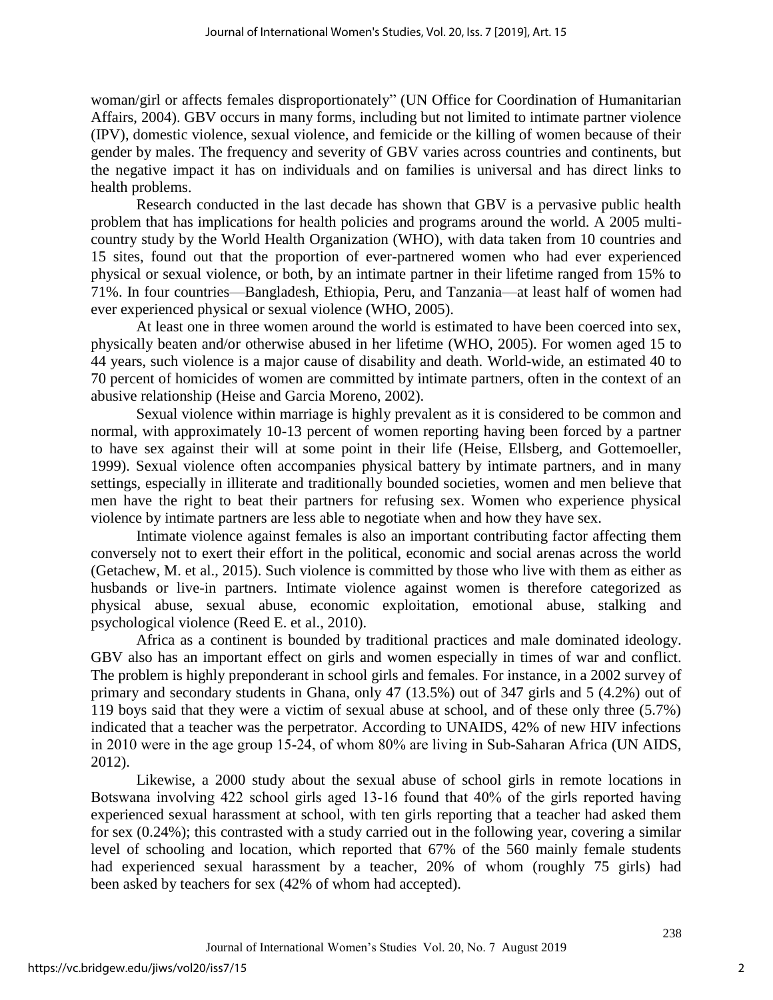woman/girl or affects females disproportionately" (UN Office for Coordination of Humanitarian Affairs, 2004). GBV occurs in many forms, including but not limited to intimate partner violence (IPV), domestic violence, sexual violence, and femicide or the killing of women because of their gender by males. The frequency and severity of GBV varies across countries and continents, but the negative impact it has on individuals and on families is universal and has direct links to health problems.

Research conducted in the last decade has shown that GBV is a pervasive public health problem that has implications for health policies and programs around the world. A 2005 multicountry study by the World Health Organization (WHO), with data taken from 10 countries and 15 sites, found out that the proportion of ever-partnered women who had ever experienced physical or sexual violence, or both, by an intimate partner in their lifetime ranged from 15% to 71%. In four countries—Bangladesh, Ethiopia, Peru, and Tanzania—at least half of women had ever experienced physical or sexual violence (WHO, 2005).

At least one in three women around the world is estimated to have been coerced into sex, physically beaten and/or otherwise abused in her lifetime (WHO, 2005). For women aged 15 to 44 years, such violence is a major cause of disability and death. World-wide, an estimated 40 to 70 percent of homicides of women are committed by intimate partners, often in the context of an abusive relationship (Heise and Garcia Moreno, 2002).

Sexual violence within marriage is highly prevalent as it is considered to be common and normal, with approximately 10-13 percent of women reporting having been forced by a partner to have sex against their will at some point in their life (Heise, Ellsberg, and Gottemoeller, 1999). Sexual violence often accompanies physical battery by intimate partners, and in many settings, especially in illiterate and traditionally bounded societies, women and men believe that men have the right to beat their partners for refusing sex. Women who experience physical violence by intimate partners are less able to negotiate when and how they have sex.

Intimate violence against females is also an important contributing factor affecting them conversely not to exert their effort in the political, economic and social arenas across the world (Getachew, M. et al., 2015). Such violence is committed by those who live with them as either as husbands or live-in partners. Intimate violence against women is therefore categorized as physical abuse, sexual abuse, economic exploitation, emotional abuse, stalking and psychological violence (Reed E. et al., 2010).

Africa as a continent is bounded by traditional practices and male dominated ideology. GBV also has an important effect on girls and women especially in times of war and conflict. The problem is highly preponderant in school girls and females. For instance, in a 2002 survey of primary and secondary students in Ghana, only 47 (13.5%) out of 347 girls and 5 (4.2%) out of 119 boys said that they were a victim of sexual abuse at school, and of these only three (5.7%) indicated that a teacher was the perpetrator. According to UNAIDS, 42% of new HIV infections in 2010 were in the age group 15‐24, of whom 80% are living in Sub‐Saharan Africa (UN AIDS, 2012).

Likewise, a 2000 study about the sexual abuse of school girls in remote locations in Botswana involving 422 school girls aged 13‐16 found that 40% of the girls reported having experienced sexual harassment at school, with ten girls reporting that a teacher had asked them for sex (0.24%); this contrasted with a study carried out in the following year, covering a similar level of schooling and location, which reported that 67% of the 560 mainly female students had experienced sexual harassment by a teacher, 20% of whom (roughly 75 girls) had been asked by teachers for sex (42% of whom had accepted).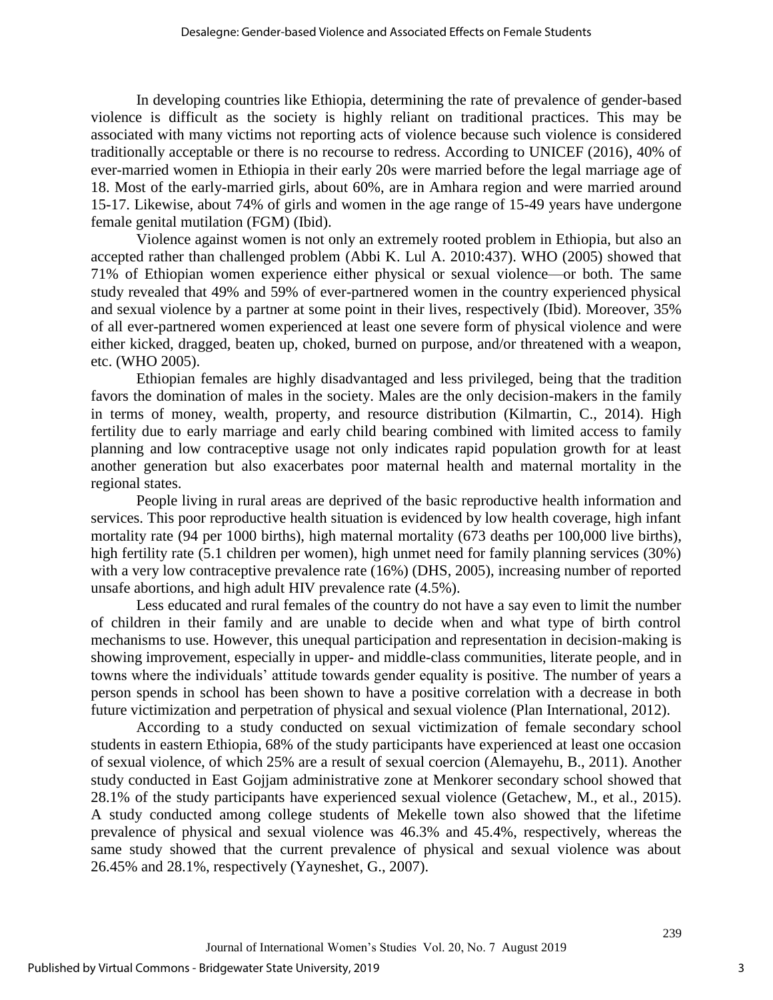In developing countries like Ethiopia, determining the rate of prevalence of gender-based violence is difficult as the society is highly reliant on traditional practices. This may be associated with many victims not reporting acts of violence because such violence is considered traditionally acceptable or there is no recourse to redress. According to UNICEF (2016), 40% of ever-married women in Ethiopia in their early 20s were married before the legal marriage age of 18. Most of the early-married girls, about 60%, are in Amhara region and were married around 15-17. Likewise, about 74% of girls and women in the age range of 15-49 years have undergone female genital mutilation (FGM) (Ibid).

Violence against women is not only an extremely rooted problem in Ethiopia, but also an accepted rather than challenged problem (Abbi K. Lul A. 2010:437). WHO (2005) showed that 71% of Ethiopian women experience either physical or sexual violence—or both. The same study revealed that 49% and 59% of ever-partnered women in the country experienced physical and sexual violence by a partner at some point in their lives, respectively (Ibid). Moreover, 35% of all ever-partnered women experienced at least one severe form of physical violence and were either kicked, dragged, beaten up, choked, burned on purpose, and/or threatened with a weapon, etc. (WHO 2005).

Ethiopian females are highly disadvantaged and less privileged, being that the tradition favors the domination of males in the society. Males are the only decision-makers in the family in terms of money, wealth, property, and resource distribution (Kilmartin, C., 2014). High fertility due to early marriage and early child bearing combined with limited access to family planning and low contraceptive usage not only indicates rapid population growth for at least another generation but also exacerbates poor maternal health and maternal mortality in the regional states.

People living in rural areas are deprived of the basic reproductive health information and services. This poor reproductive health situation is evidenced by low health coverage, high infant mortality rate (94 per 1000 births), high maternal mortality (673 deaths per 100,000 live births), high fertility rate (5.1 children per women), high unmet need for family planning services (30%) with a very low contraceptive prevalence rate (16%) (DHS, 2005), increasing number of reported unsafe abortions, and high adult HIV prevalence rate (4.5%).

Less educated and rural females of the country do not have a say even to limit the number of children in their family and are unable to decide when and what type of birth control mechanisms to use. However, this unequal participation and representation in decision-making is showing improvement, especially in upper- and middle-class communities, literate people, and in towns where the individuals' attitude towards gender equality is positive. The number of years a person spends in school has been shown to have a positive correlation with a decrease in both future victimization and perpetration of physical and sexual violence (Plan International, 2012).

According to a study conducted on sexual victimization of female secondary school students in eastern Ethiopia, 68% of the study participants have experienced at least one occasion of sexual violence, of which 25% are a result of sexual coercion (Alemayehu, B., 2011). Another study conducted in East Gojjam administrative zone at Menkorer secondary school showed that 28.1% of the study participants have experienced sexual violence (Getachew, M., et al., 2015). A study conducted among college students of Mekelle town also showed that the lifetime prevalence of physical and sexual violence was 46.3% and 45.4%, respectively, whereas the same study showed that the current prevalence of physical and sexual violence was about 26.45% and 28.1%, respectively (Yayneshet, G., 2007).

3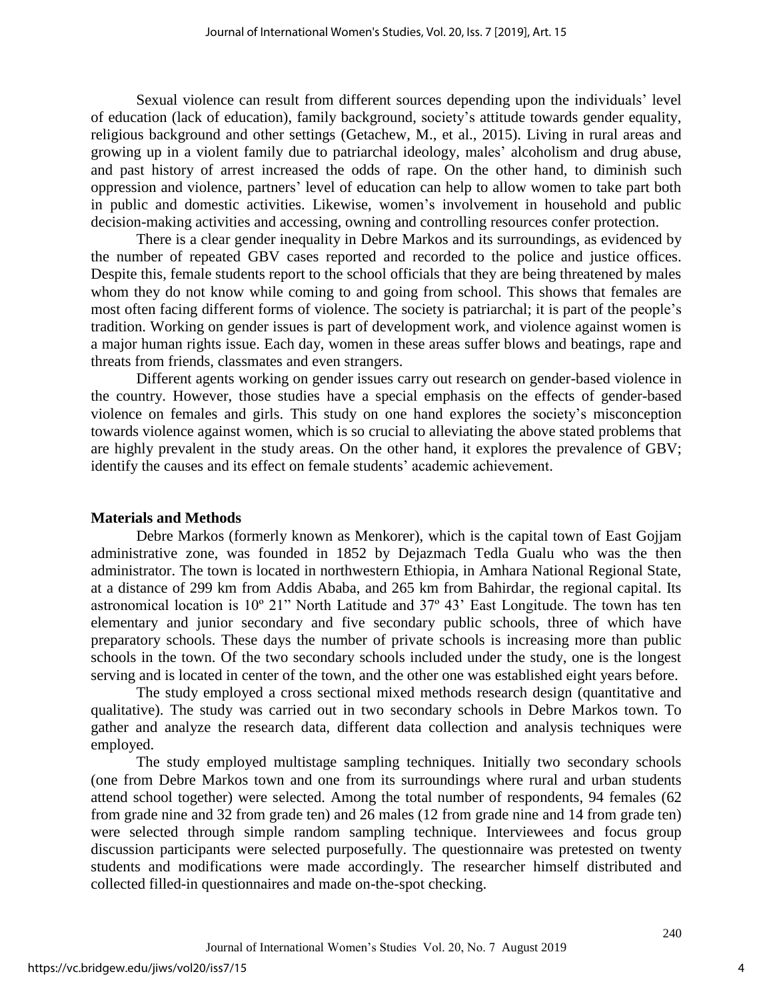Sexual violence can result from different sources depending upon the individuals' level of education (lack of education), family background, society's attitude towards gender equality, religious background and other settings (Getachew, M., et al., 2015). Living in rural areas and growing up in a violent family due to patriarchal ideology, males' alcoholism and drug abuse, and past history of arrest increased the odds of rape. On the other hand, to diminish such oppression and violence, partners' level of education can help to allow women to take part both in public and domestic activities. Likewise, women's involvement in household and public decision-making activities and accessing, owning and controlling resources confer protection.

There is a clear gender inequality in Debre Markos and its surroundings, as evidenced by the number of repeated GBV cases reported and recorded to the police and justice offices. Despite this, female students report to the school officials that they are being threatened by males whom they do not know while coming to and going from school. This shows that females are most often facing different forms of violence. The society is patriarchal; it is part of the people's tradition. Working on gender issues is part of development work, and violence against women is a major human rights issue. Each day, women in these areas suffer blows and beatings, rape and threats from friends, classmates and even strangers.

Different agents working on gender issues carry out research on gender-based violence in the country. However, those studies have a special emphasis on the effects of gender-based violence on females and girls. This study on one hand explores the society's misconception towards violence against women, which is so crucial to alleviating the above stated problems that are highly prevalent in the study areas. On the other hand, it explores the prevalence of GBV; identify the causes and its effect on female students' academic achievement.

## **Materials and Methods**

Debre Markos (formerly known as Menkorer), which is the capital town of East Gojjam administrative zone, was founded in 1852 by Dejazmach Tedla Gualu who was the then administrator. The town is located in northwestern Ethiopia, in Amhara National Regional State, at a distance of 299 km from Addis Ababa, and 265 km from Bahirdar, the regional capital. Its astronomical location is 10º 21" North Latitude and 37º 43' East Longitude. The town has ten elementary and junior secondary and five secondary public schools, three of which have preparatory schools. These days the number of private schools is increasing more than public schools in the town. Of the two secondary schools included under the study, one is the longest serving and is located in center of the town, and the other one was established eight years before.

The study employed a cross sectional mixed methods research design (quantitative and qualitative). The study was carried out in two secondary schools in Debre Markos town. To gather and analyze the research data, different data collection and analysis techniques were employed.

The study employed multistage sampling techniques. Initially two secondary schools (one from Debre Markos town and one from its surroundings where rural and urban students attend school together) were selected. Among the total number of respondents, 94 females (62 from grade nine and 32 from grade ten) and 26 males (12 from grade nine and 14 from grade ten) were selected through simple random sampling technique. Interviewees and focus group discussion participants were selected purposefully. The questionnaire was pretested on twenty students and modifications were made accordingly. The researcher himself distributed and collected filled-in questionnaires and made on-the-spot checking.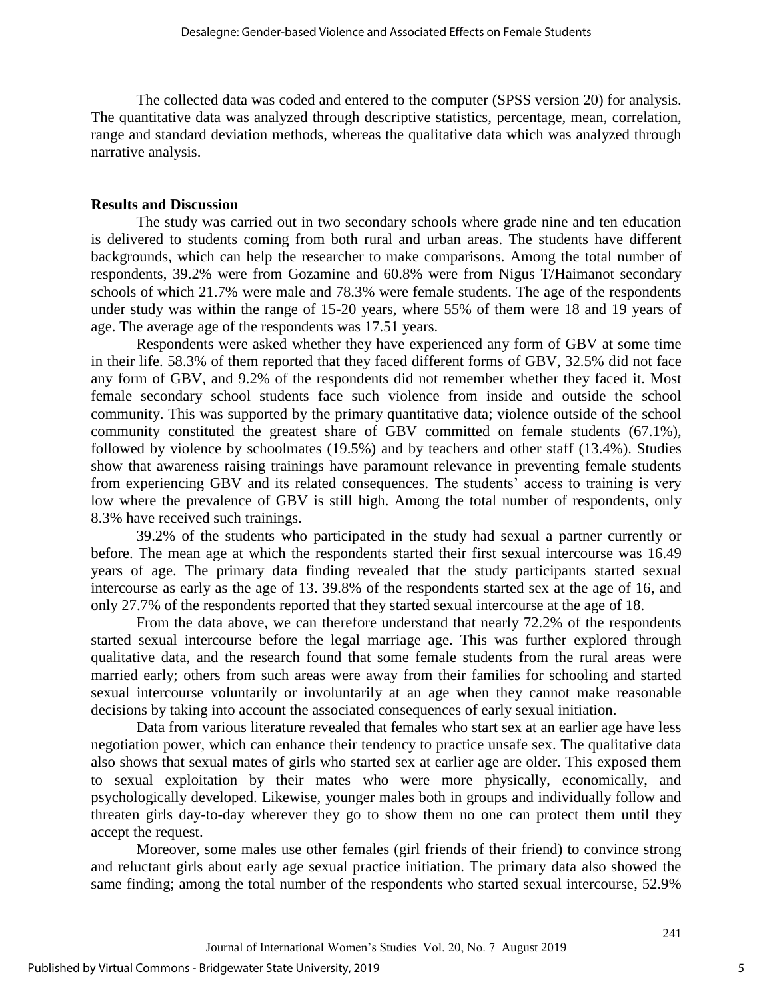The collected data was coded and entered to the computer (SPSS version 20) for analysis. The quantitative data was analyzed through descriptive statistics, percentage, mean, correlation, range and standard deviation methods, whereas the qualitative data which was analyzed through narrative analysis.

## **Results and Discussion**

The study was carried out in two secondary schools where grade nine and ten education is delivered to students coming from both rural and urban areas. The students have different backgrounds, which can help the researcher to make comparisons. Among the total number of respondents, 39.2% were from Gozamine and 60.8% were from Nigus T/Haimanot secondary schools of which 21.7% were male and 78.3% were female students. The age of the respondents under study was within the range of 15-20 years, where 55% of them were 18 and 19 years of age. The average age of the respondents was 17.51 years.

Respondents were asked whether they have experienced any form of GBV at some time in their life. 58.3% of them reported that they faced different forms of GBV, 32.5% did not face any form of GBV, and 9.2% of the respondents did not remember whether they faced it. Most female secondary school students face such violence from inside and outside the school community. This was supported by the primary quantitative data; violence outside of the school community constituted the greatest share of GBV committed on female students (67.1%), followed by violence by schoolmates (19.5%) and by teachers and other staff (13.4%). Studies show that awareness raising trainings have paramount relevance in preventing female students from experiencing GBV and its related consequences. The students' access to training is very low where the prevalence of GBV is still high. Among the total number of respondents, only 8.3% have received such trainings.

39.2% of the students who participated in the study had sexual a partner currently or before. The mean age at which the respondents started their first sexual intercourse was 16.49 years of age. The primary data finding revealed that the study participants started sexual intercourse as early as the age of 13. 39.8% of the respondents started sex at the age of 16, and only 27.7% of the respondents reported that they started sexual intercourse at the age of 18.

From the data above, we can therefore understand that nearly 72.2% of the respondents started sexual intercourse before the legal marriage age. This was further explored through qualitative data, and the research found that some female students from the rural areas were married early; others from such areas were away from their families for schooling and started sexual intercourse voluntarily or involuntarily at an age when they cannot make reasonable decisions by taking into account the associated consequences of early sexual initiation.

Data from various literature revealed that females who start sex at an earlier age have less negotiation power, which can enhance their tendency to practice unsafe sex. The qualitative data also shows that sexual mates of girls who started sex at earlier age are older. This exposed them to sexual exploitation by their mates who were more physically, economically, and psychologically developed. Likewise, younger males both in groups and individually follow and threaten girls day-to-day wherever they go to show them no one can protect them until they accept the request.

Moreover, some males use other females (girl friends of their friend) to convince strong and reluctant girls about early age sexual practice initiation. The primary data also showed the same finding; among the total number of the respondents who started sexual intercourse, 52.9%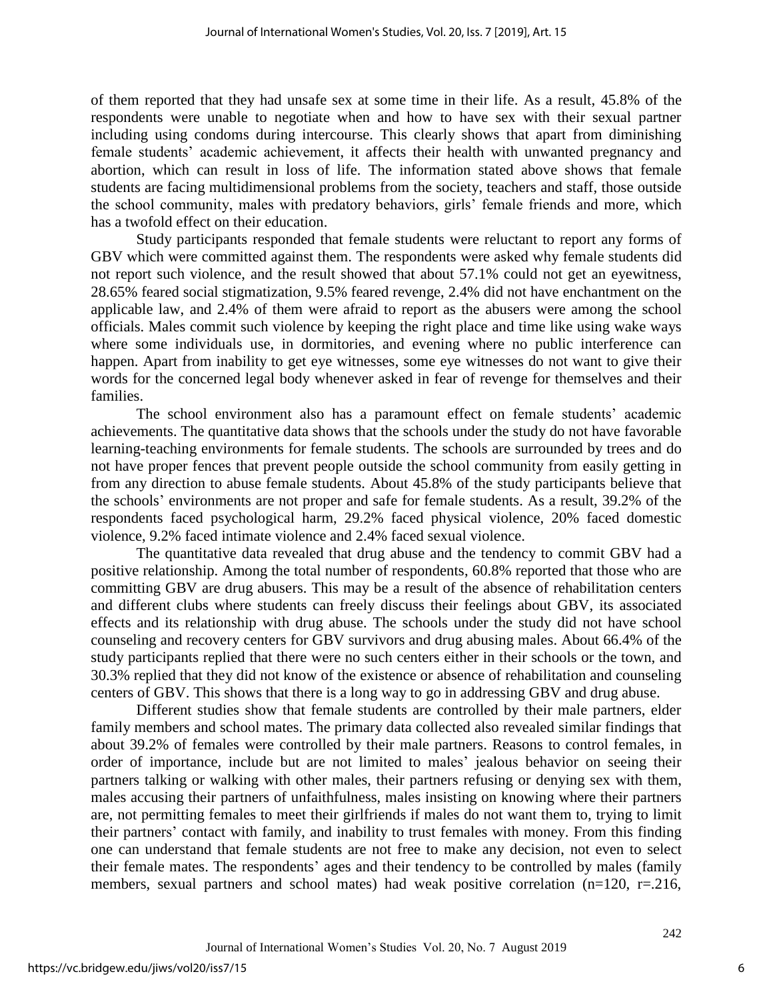of them reported that they had unsafe sex at some time in their life. As a result, 45.8% of the respondents were unable to negotiate when and how to have sex with their sexual partner including using condoms during intercourse. This clearly shows that apart from diminishing female students' academic achievement, it affects their health with unwanted pregnancy and abortion, which can result in loss of life. The information stated above shows that female students are facing multidimensional problems from the society, teachers and staff, those outside the school community, males with predatory behaviors, girls' female friends and more, which has a twofold effect on their education.

Study participants responded that female students were reluctant to report any forms of GBV which were committed against them. The respondents were asked why female students did not report such violence, and the result showed that about 57.1% could not get an eyewitness, 28.65% feared social stigmatization, 9.5% feared revenge, 2.4% did not have enchantment on the applicable law, and 2.4% of them were afraid to report as the abusers were among the school officials. Males commit such violence by keeping the right place and time like using wake ways where some individuals use, in dormitories, and evening where no public interference can happen. Apart from inability to get eye witnesses, some eye witnesses do not want to give their words for the concerned legal body whenever asked in fear of revenge for themselves and their families.

The school environment also has a paramount effect on female students' academic achievements. The quantitative data shows that the schools under the study do not have favorable learning-teaching environments for female students. The schools are surrounded by trees and do not have proper fences that prevent people outside the school community from easily getting in from any direction to abuse female students. About 45.8% of the study participants believe that the schools' environments are not proper and safe for female students. As a result, 39.2% of the respondents faced psychological harm, 29.2% faced physical violence, 20% faced domestic violence, 9.2% faced intimate violence and 2.4% faced sexual violence.

The quantitative data revealed that drug abuse and the tendency to commit GBV had a positive relationship. Among the total number of respondents, 60.8% reported that those who are committing GBV are drug abusers. This may be a result of the absence of rehabilitation centers and different clubs where students can freely discuss their feelings about GBV, its associated effects and its relationship with drug abuse. The schools under the study did not have school counseling and recovery centers for GBV survivors and drug abusing males. About 66.4% of the study participants replied that there were no such centers either in their schools or the town, and 30.3% replied that they did not know of the existence or absence of rehabilitation and counseling centers of GBV. This shows that there is a long way to go in addressing GBV and drug abuse.

Different studies show that female students are controlled by their male partners, elder family members and school mates. The primary data collected also revealed similar findings that about 39.2% of females were controlled by their male partners. Reasons to control females, in order of importance, include but are not limited to males' jealous behavior on seeing their partners talking or walking with other males, their partners refusing or denying sex with them, males accusing their partners of unfaithfulness, males insisting on knowing where their partners are, not permitting females to meet their girlfriends if males do not want them to, trying to limit their partners' contact with family, and inability to trust females with money. From this finding one can understand that female students are not free to make any decision, not even to select their female mates. The respondents' ages and their tendency to be controlled by males (family members, sexual partners and school mates) had weak positive correlation (n=120, r=.216,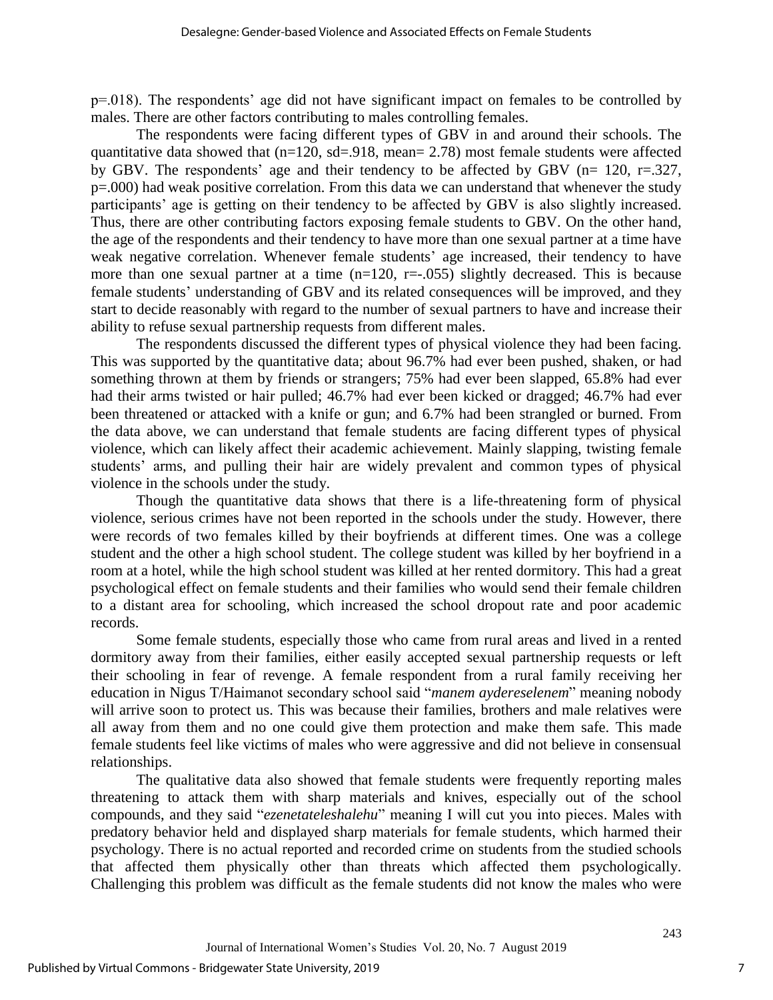p=.018). The respondents' age did not have significant impact on females to be controlled by males. There are other factors contributing to males controlling females.

The respondents were facing different types of GBV in and around their schools. The quantitative data showed that (n=120, sd=.918, mean= 2.78) most female students were affected by GBV. The respondents' age and their tendency to be affected by GBV ( $n= 120$ ,  $r=.327$ , p=.000) had weak positive correlation. From this data we can understand that whenever the study participants' age is getting on their tendency to be affected by GBV is also slightly increased. Thus, there are other contributing factors exposing female students to GBV. On the other hand, the age of the respondents and their tendency to have more than one sexual partner at a time have weak negative correlation. Whenever female students' age increased, their tendency to have more than one sexual partner at a time  $(n=120, r=.055)$  slightly decreased. This is because female students' understanding of GBV and its related consequences will be improved, and they start to decide reasonably with regard to the number of sexual partners to have and increase their ability to refuse sexual partnership requests from different males.

The respondents discussed the different types of physical violence they had been facing. This was supported by the quantitative data; about 96.7% had ever been pushed, shaken, or had something thrown at them by friends or strangers; 75% had ever been slapped, 65.8% had ever had their arms twisted or hair pulled; 46.7% had ever been kicked or dragged; 46.7% had ever been threatened or attacked with a knife or gun; and 6.7% had been strangled or burned. From the data above, we can understand that female students are facing different types of physical violence, which can likely affect their academic achievement. Mainly slapping, twisting female students' arms, and pulling their hair are widely prevalent and common types of physical violence in the schools under the study.

Though the quantitative data shows that there is a life-threatening form of physical violence, serious crimes have not been reported in the schools under the study. However, there were records of two females killed by their boyfriends at different times. One was a college student and the other a high school student. The college student was killed by her boyfriend in a room at a hotel, while the high school student was killed at her rented dormitory. This had a great psychological effect on female students and their families who would send their female children to a distant area for schooling, which increased the school dropout rate and poor academic records.

Some female students, especially those who came from rural areas and lived in a rented dormitory away from their families, either easily accepted sexual partnership requests or left their schooling in fear of revenge. A female respondent from a rural family receiving her education in Nigus T/Haimanot secondary school said "*manem aydereselenem*" meaning nobody will arrive soon to protect us. This was because their families, brothers and male relatives were all away from them and no one could give them protection and make them safe. This made female students feel like victims of males who were aggressive and did not believe in consensual relationships.

The qualitative data also showed that female students were frequently reporting males threatening to attack them with sharp materials and knives, especially out of the school compounds, and they said "*ezenetateleshalehu*" meaning I will cut you into pieces. Males with predatory behavior held and displayed sharp materials for female students, which harmed their psychology. There is no actual reported and recorded crime on students from the studied schools that affected them physically other than threats which affected them psychologically. Challenging this problem was difficult as the female students did not know the males who were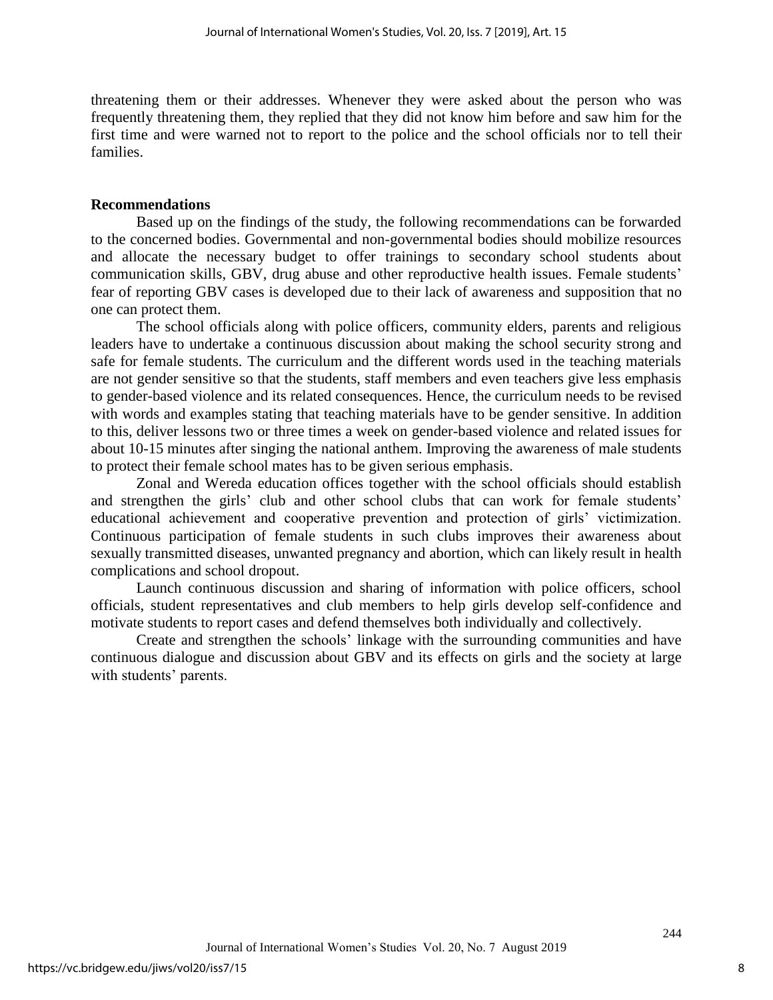threatening them or their addresses. Whenever they were asked about the person who was frequently threatening them, they replied that they did not know him before and saw him for the first time and were warned not to report to the police and the school officials nor to tell their families.

## **Recommendations**

Based up on the findings of the study, the following recommendations can be forwarded to the concerned bodies. Governmental and non-governmental bodies should mobilize resources and allocate the necessary budget to offer trainings to secondary school students about communication skills, GBV, drug abuse and other reproductive health issues. Female students' fear of reporting GBV cases is developed due to their lack of awareness and supposition that no one can protect them.

The school officials along with police officers, community elders, parents and religious leaders have to undertake a continuous discussion about making the school security strong and safe for female students. The curriculum and the different words used in the teaching materials are not gender sensitive so that the students, staff members and even teachers give less emphasis to gender-based violence and its related consequences. Hence, the curriculum needs to be revised with words and examples stating that teaching materials have to be gender sensitive. In addition to this, deliver lessons two or three times a week on gender-based violence and related issues for about 10-15 minutes after singing the national anthem. Improving the awareness of male students to protect their female school mates has to be given serious emphasis.

Zonal and Wereda education offices together with the school officials should establish and strengthen the girls' club and other school clubs that can work for female students' educational achievement and cooperative prevention and protection of girls' victimization. Continuous participation of female students in such clubs improves their awareness about sexually transmitted diseases, unwanted pregnancy and abortion, which can likely result in health complications and school dropout.

Launch continuous discussion and sharing of information with police officers, school officials, student representatives and club members to help girls develop self-confidence and motivate students to report cases and defend themselves both individually and collectively.

Create and strengthen the schools' linkage with the surrounding communities and have continuous dialogue and discussion about GBV and its effects on girls and the society at large with students' parents.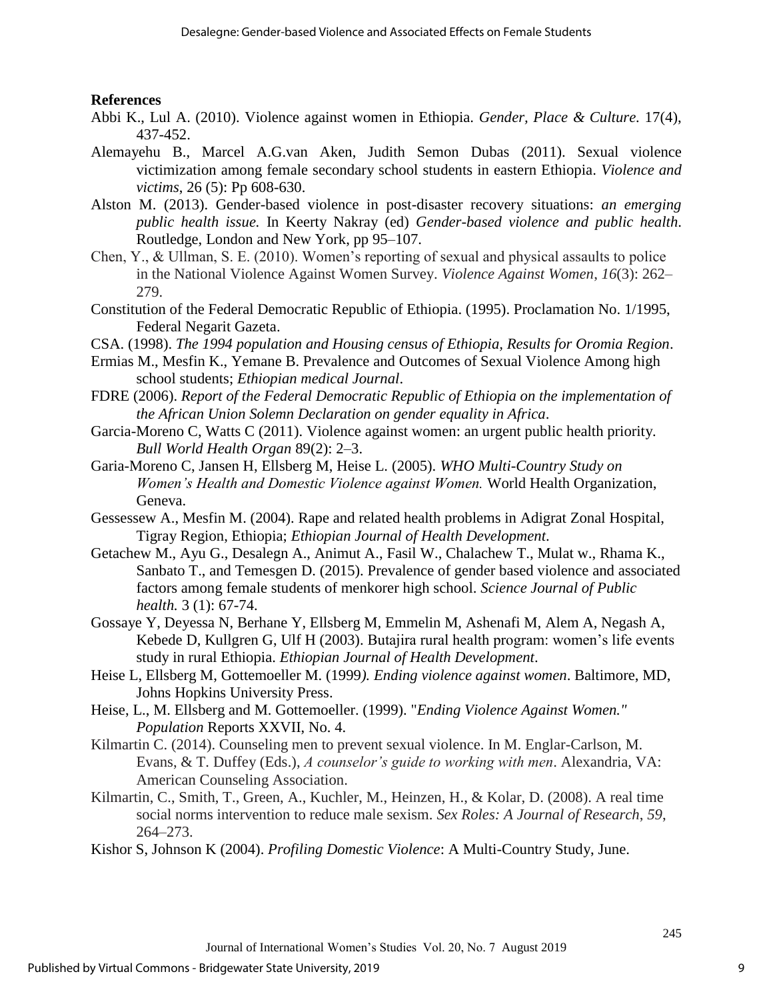## **References**

- Abbi K., Lul A. (2010). Violence against women in Ethiopia. *Gender, Place & Culture.* 17(4), 437-452.
- Alemayehu B., Marcel A.G.van Aken, Judith Semon Dubas (2011). Sexual violence victimization among female secondary school students in eastern Ethiopia. *Violence and victims*, 26 (5): Pp 608-630.
- Alston M. (2013). Gender-based violence in post-disaster recovery situations: *an emerging public health issue.* In Keerty Nakray (ed) *Gender-based violence and public health*. Routledge, London and New York, pp 95–107.
- Chen, Y., & Ullman, S. E. (2010). Women's reporting of sexual and physical assaults to police in the National Violence Against Women Survey. *Violence Against Women*, *16*(3): 262– 279.
- Constitution of the Federal Democratic Republic of Ethiopia. (1995). Proclamation No. 1/1995, Federal Negarit Gazeta.
- CSA. (1998). *The 1994 population and Housing census of Ethiopia, Results for Oromia Region*.
- Ermias M., Mesfin K., Yemane B. Prevalence and Outcomes of Sexual Violence Among high school students; *Ethiopian medical Journal*.
- FDRE (2006). *Report of the Federal Democratic Republic of Ethiopia on the implementation of the African Union Solemn Declaration on gender equality in Africa*.
- Garcia-Moreno C, Watts C (2011). Violence against women: an urgent public health priority*. Bull World Health Organ* 89(2): 2–3.
- Garia-Moreno C, Jansen H, Ellsberg M, Heise L. (2005). *WHO Multi-Country Study on Women's Health and Domestic Violence against Women.* World Health Organization, Geneva.
- Gessessew A., Mesfin M. (2004). Rape and related health problems in Adigrat Zonal Hospital, Tigray Region, Ethiopia; *Ethiopian Journal of Health Development*.
- Getachew M., Ayu G., Desalegn A., Animut A., Fasil W., Chalachew T., Mulat w., Rhama K., Sanbato T., and Temesgen D. (2015). Prevalence of gender based violence and associated factors among female students of menkorer high school. *Science Journal of Public health.* 3 (1): 67-74.
- Gossaye Y, Deyessa N, Berhane Y, Ellsberg M, Emmelin M, Ashenafi M, Alem A, Negash A, Kebede D, Kullgren G, Ulf H (2003). Butajira rural health program: women's life events study in rural Ethiopia. *Ethiopian Journal of Health Development*.
- Heise L, Ellsberg M, Gottemoeller M. (1999*). Ending violence against women*. Baltimore, MD, Johns Hopkins University Press.
- Heise, L., M. Ellsberg and M. Gottemoeller. (1999). "*Ending Violence Against Women." Population* Reports XXVII, No. 4.
- Kilmartin C. (2014). Counseling men to prevent sexual violence. In M. Englar-Carlson, M. Evans, & T. Duffey (Eds.), *A counselor's guide to working with men*. Alexandria, VA: American Counseling Association.
- Kilmartin, C., Smith, T., Green, A., Kuchler, M., Heinzen, H., & Kolar, D. (2008). A real time social norms intervention to reduce male sexism. *Sex Roles: A Journal of Research*, *59*, 264–273.
- Kishor S, Johnson K (2004). *Profiling Domestic Violence*: A Multi-Country Study, June.